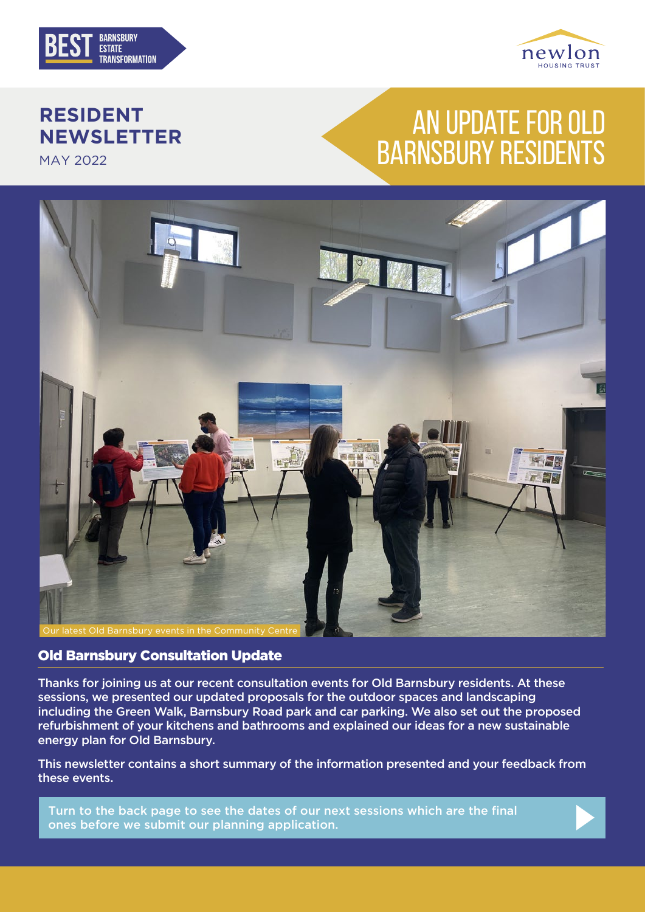



### **RESIDENT NEWSLETTER**

MAY 2022

# AN UPDATE FOR OLD BARNSBURY RESIDENTS



#### Old Barnsbury Consultation Update

Thanks for joining us at our recent consultation events for Old Barnsbury residents. At these sessions, we presented our updated proposals for the outdoor spaces and landscaping including the Green Walk, Barnsbury Road park and car parking. We also set out the proposed refurbishment of your kitchens and bathrooms and explained our ideas for a new sustainable energy plan for Old Barnsbury.

This newsletter contains a short summary of the information presented and your feedback from these events.

Turn to the back page to see the dates of our next sessions which are the final ones before we submit our planning application.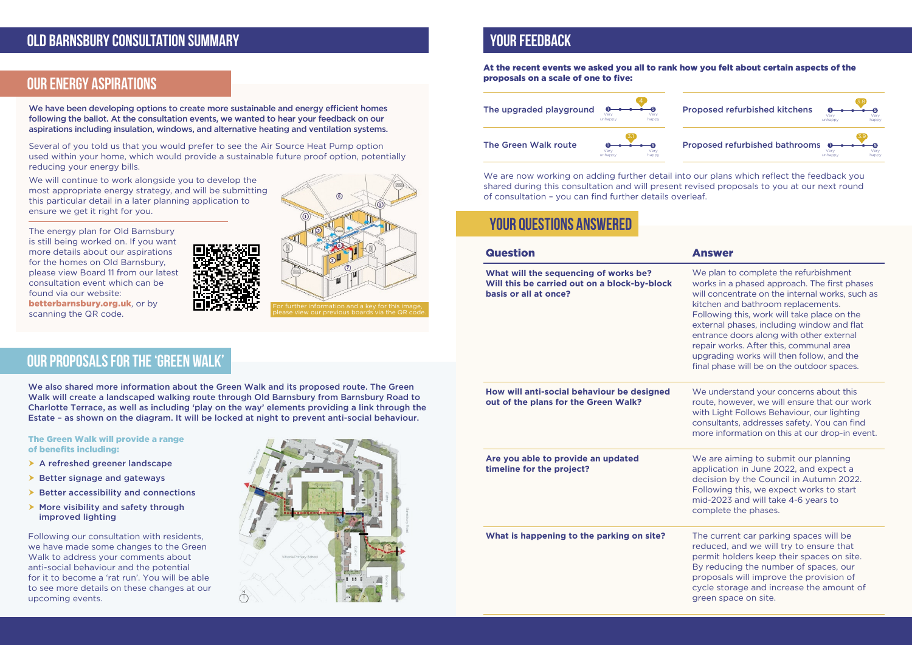We also shared more information about the Green Walk and its proposed route. The Green Walk will create a landscaped walking route through Old Barnsbury from Barnsbury Road to Charlotte Terrace, as well as including 'play on the way' elements providing a link through the Estate – as shown on the diagram. It will be locked at night to prevent anti-social behaviour.

- $\triangleright$  A refreshed greener landscape
- $\triangleright$  Better signage and gateways
- $\triangleright$  Better accessibility and connections
- $\triangleright$  More visibility and safety through improved lighting

#### The Green Walk will provide a range of benefits including:

Following our consultation with residents, we have made some changes to the Green Walk to address your comments about anti-social behaviour and the potential for it to become a 'rat run'. You will be able to see more details on these changes at our upcoming events.



## **YOUR FEEDBACK**

### **YOUR QUESTIONS ANSWERED**

We understand your concerns about this route, however, we will ensure that our work with Light Follows Behaviour, our lighting consultants, addresses safety. You can find more information on this at our drop-in event.

#### At the recent events we asked you all to rank how you felt about certain aspects of the proposals on a scale of one to five:

#### Question Answer

We are aiming to submit our planning application in June 2022, and expect a decision by the Council in Autumn 2022. Following this, we expect works to start mid-2023 and will take 4-6 years to complete the phases.

**What will the sequencing of works be? Will this be carried out on a block-by-block basis or all at once?**

We plan to complete the refurbishment works in a phased approach. The first phases will concentrate on the internal works, such as kitchen and bathroom replacements. Following this, work will take place on the external phases, including window and flat entrance doors along with other external repair works. After this, communal area upgrading works will then follow, and the final phase will be on the outdoor spaces.

**How will anti-social behaviour be designed out of the plans for the Green Walk?**

**Are you able to provide an updated timeline for the project?**

**What is happening to the parking on site?** The current car parking spaces will be

reduced, and we will try to ensure that permit holders keep their spaces on site. By reducing the number of spaces, our proposals will improve the provision of cycle storage and increase the amount of green space on site.

We are now working on adding further detail into our plans which reflect the feedback you shared during this consultation and will present revised proposals to you at our next round of consultation – you can find further details overleaf.



We have been developing options to create more sustainable and energy efficient homes following the ballot. At the consultation events, we wanted to hear your feedback on our aspirations including insulation, windows, and alternative heating and ventilation systems.

Several of you told us that you would prefer to see the Air Source Heat Pump option used within your home, which would provide a sustainable future proof option, potentially reducing your energy bills.

We will continue to work alongside you to develop the most appropriate energy strategy, and will be submitting this particular detail in a later planning application to ensure we get it right for you.

The energy plan for Old Barnsbury is still being worked on. If you want more details about our aspirations for the homes on Old Barnsbury, please view Board 11 from our latest consultation event which can be found via our website: betterbarnsbury.org.uk, or by scanning the QR code.



### **OLD BARNSBURY CONSULTATION SUMMARY**

### **OUR PROPOSALS FOR THE 'GREEN WALK'**

### **OUR ENERGY ASPIRATIONS**